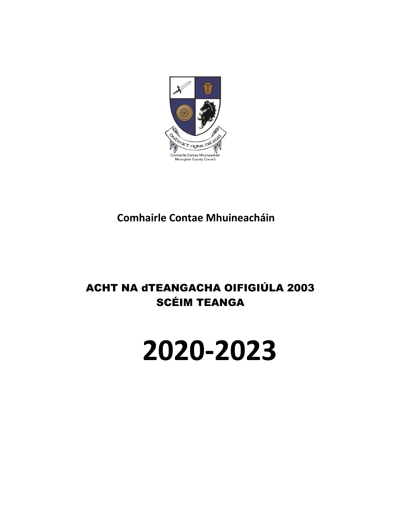

**Comhairle Contae Mhuineacháin**

# ACHT NA dTEANGACHA OIFIGIÚLA 2003 SCÉIM TEANGA

# **2020-2023**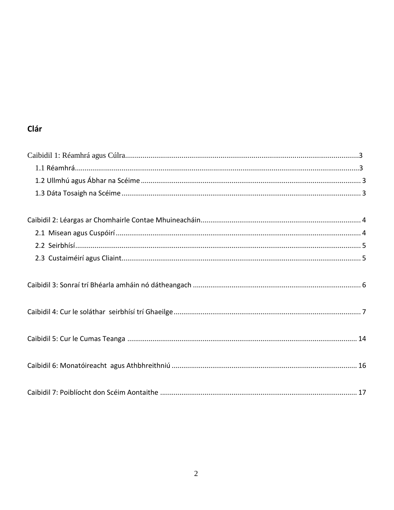# Clár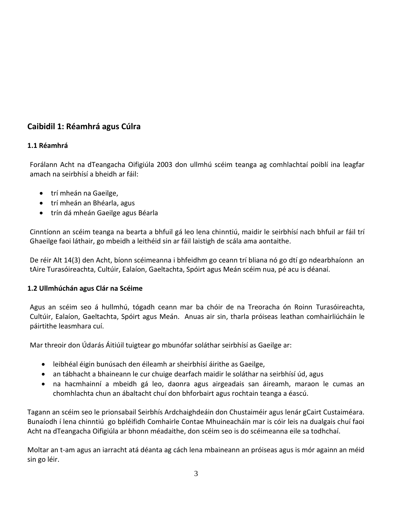# **Caibidil 1: Réamhrá agus Cúlra**

#### **1.1 Réamhrá**

Forálann Acht na dTeangacha Oifigiúla 2003 don ullmhú scéim teanga ag comhlachtaí poiblí ina leagfar amach na seirbhísí a bheidh ar fáil:

- trí mheán na Gaeilge,
- trí mheán an Bhéarla, agus
- trín dá mheán Gaeilge agus Béarla

Cinntíonn an scéim teanga na bearta a bhfuil gá leo lena chinntiú, maidir le seirbhísí nach bhfuil ar fáil trí Ghaeilge faoi láthair, go mbeidh a leithéid sin ar fáil laistigh de scála ama aontaithe.

De réir Alt 14(3) den Acht, bíonn scéimeanna i bhfeidhm go ceann trí bliana nó go dtí go ndearbhaíonn an tAire Turasóireachta, Cultúir, Ealaíon, Gaeltachta, Spóirt agus Meán scéim nua, pé acu is déanaí.

#### **1.2 Ullmhúchán agus Clár na Scéime**

Agus an scéim seo á hullmhú, tógadh ceann mar ba chóir de na Treoracha ón Roinn Turasóireachta, Cultúir, Ealaíon, Gaeltachta, Spóirt agus Meán. Anuas air sin, tharla próiseas leathan comhairliúcháin le páirtithe leasmhara cuí.

Mar threoir don Údarás Áitiúil tuigtear go mbunófar soláthar seirbhísí as Gaeilge ar:

- leibhéal éigin bunúsach den éileamh ar sheirbhísí áirithe as Gaeilge,
- an tábhacht a bhaineann le cur chuige dearfach maidir le soláthar na seirbhísí úd, agus
- na hacmhainní a mbeidh gá leo, daonra agus airgeadais san áireamh, maraon le cumas an chomhlachta chun an ábaltacht chuí don bhforbairt agus rochtain teanga a éascú.

Tagann an scéim seo le prionsabail Seirbhís Ardchaighdeáin don Chustaiméir agus lenár gCairt Custaiméara. Bunaíodh í lena chinntiú go bpléifidh Comhairle Contae Mhuineacháin mar is cóir leis na dualgais chuí faoi Acht na dTeangacha Oifigiúla ar bhonn méadaithe, don scéim seo is do scéimeanna eile sa todhchaí.

Moltar an t-am agus an iarracht atá déanta ag cách lena mbaineann an próiseas agus is mór againn an méid sin go léir.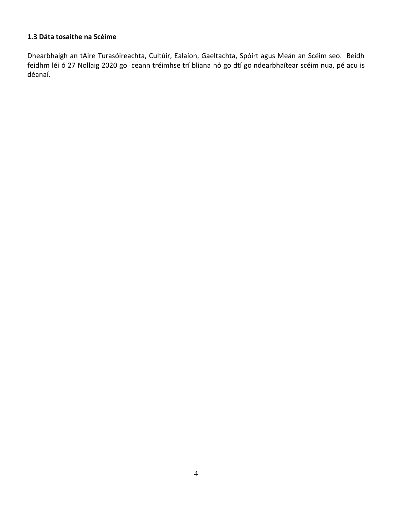#### **1.3 Dáta tosaithe na Scéime**

Dhearbhaigh an tAire Turasóireachta, Cultúir, Ealaíon, Gaeltachta, Spóirt agus Meán an Scéim seo. Beidh feidhm léi ó 27 Nollaig 2020 go ceann tréimhse trí bliana nó go dtí go ndearbhaítear scéim nua, pé acu is déanaí.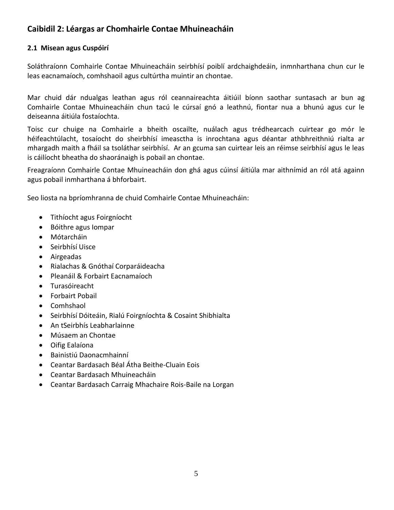## **Caibidil 2: Léargas ar Chomhairle Contae Mhuineacháin**

#### **2.1 Misean agus Cuspóirí**

Soláthraíonn Comhairle Contae Mhuineacháin seirbhísí poiblí ardchaighdeáin, inmnharthana chun cur le leas eacnamaíoch, comhshaoil agus cultúrtha muintir an chontae.

Mar chuid dár ndualgas leathan agus ról ceannaireachta áitiúil bíonn saothar suntasach ar bun ag Comhairle Contae Mhuineacháin chun tacú le cúrsaí gnó a leathnú, fiontar nua a bhunú agus cur le deiseanna áitiúla fostaíochta.

Toisc cur chuige na Comhairle a bheith oscailte, nuálach agus trédhearcach cuirtear go mór le héifeachtúlacht, tosaíocht do sheirbhísí imeasctha is inrochtana agus déantar athbhreithniú rialta ar mhargadh maith a fháil sa tsoláthar seirbhísí. Ar an gcuma san cuirtear leis an réimse seirbhísí agus le leas is cáilíocht bheatha do shaoránaigh is pobail an chontae.

Freagraíonn Comhairle Contae Mhuineacháin don ghá agus cúinsí áitiúla mar aithnímid an ról atá againn agus pobail inmharthana á bhforbairt.

Seo liosta na bpríomhranna de chuid Comhairle Contae Mhuineacháin:

- Tithíocht agus Foirgníocht
- Bóithre agus Iompar
- Mótarcháin
- Seirbhísí Uisce
- Airgeadas
- Rialachas & Gnóthaí Corparáideacha
- Pleanáil & Forbairt Eacnamaíoch
- Turasóireacht
- Forbairt Pobail
- Comhshaol
- Seirbhísí Dóiteáin, Rialú Foirgníochta & Cosaint Shibhialta
- An tSeirbhís Leabharlainne
- Músaem an Chontae
- Oifig Ealaíona
- Bainistiú Daonacmhainní
- Ceantar Bardasach Béal Átha Beithe-Cluain Eois
- Ceantar Bardasach Mhuineacháin
- Ceantar Bardasach Carraig Mhachaire Rois-Baile na Lorgan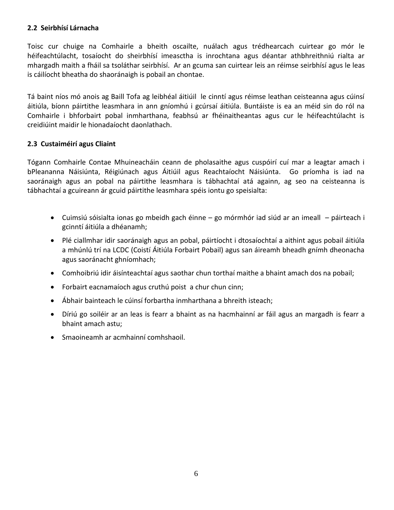#### **2.2 Seirbhísí Lárnacha**

Toisc cur chuige na Comhairle a bheith oscailte, nuálach agus trédhearcach cuirtear go mór le héifeachtúlacht, tosaíocht do sheirbhísí imeasctha is inrochtana agus déantar athbhreithniú rialta ar mhargadh maith a fháil sa tsoláthar seirbhísí. Ar an gcuma san cuirtear leis an réimse seirbhísí agus le leas is cáilíocht bheatha do shaoránaigh is pobail an chontae.

Tá baint níos mó anois ag Baill Tofa ag leibhéal áitiúil le cinntí agus réimse leathan ceisteanna agus cúinsí áitiúla, bíonn páirtithe leasmhara in ann gníomhú i gcúrsaí áitiúla. Buntáiste is ea an méid sin do ról na Comhairle i bhforbairt pobal inmharthana, feabhsú ar fhéinaitheantas agus cur le héifeachtúlacht is creidiúint maidir le hionadaíocht daonlathach.

#### **2.3 Custaiméirí agus Cliaint**

Tógann Comhairle Contae Mhuineacháin ceann de pholasaithe agus cuspóirí cuí mar a leagtar amach i bPleananna Náisiúnta, Réigiúnach agus Áitiúil agus Reachtaíocht Náisiúnta. Go príomha is iad na saoránaigh agus an pobal na páirtithe leasmhara is tábhachtaí atá againn, ag seo na ceisteanna is tábhachtaí a gcuireann ár gcuid páirtithe leasmhara spéis iontu go speisialta:

- Cuimsiú sóisialta ionas go mbeidh gach éinne go mórmhór iad siúd ar an imeall páirteach i gcinntí áitiúla a dhéanamh;
- Plé ciallmhar idir saoránaigh agus an pobal, páirtíocht i dtosaíochtaí a aithint agus pobail áitiúla a mhúnlú trí na LCDC (Coistí Áitiúla Forbairt Pobail) agus san áireamh bheadh gnímh dheonacha agus saoránacht ghníomhach;
- Comhoibriú idir áisínteachtaí agus saothar chun torthaí maithe a bhaint amach dos na pobail;
- Forbairt eacnamaíoch agus cruthú poist a chur chun cinn;
- Ábhair bainteach le cúinsí forbartha inmharthana a bhreith isteach;
- Díriú go soiléir ar an leas is fearr a bhaint as na hacmhainní ar fáil agus an margadh is fearr a bhaint amach astu;
- Smaoineamh ar acmhainní comhshaoil.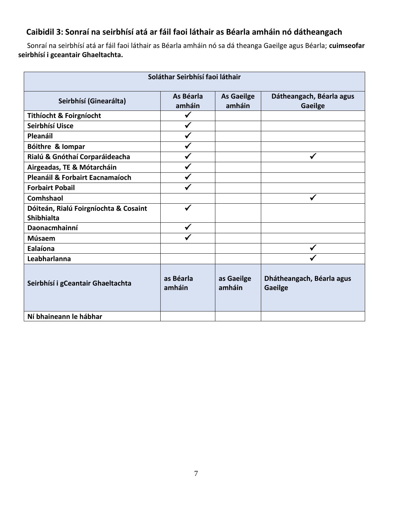# **Caibidil 3: Sonraí na seirbhísí atá ar fáil faoi láthair as Béarla amháin nó dátheangach**

 Sonraí na seirbhísí atá ar fáil faoi láthair as Béarla amháin nó sa dá theanga Gaeilge agus Béarla; **cuimseofar seirbhísí i gceantair Ghaeltachta.**

| Soláthar Seirbhísí faoi láthair                                                                                            |                     |                      |                                             |  |  |
|----------------------------------------------------------------------------------------------------------------------------|---------------------|----------------------|---------------------------------------------|--|--|
| As Béarla<br>Dátheangach, Béarla agus<br><b>As Gaeilge</b><br>Seirbhísí (Ginearálta)<br>amháin<br>amháin<br><b>Gaeilge</b> |                     |                      |                                             |  |  |
| <b>Tithíocht &amp; Foirgníocht</b>                                                                                         |                     |                      |                                             |  |  |
| Seirbhísí Uisce                                                                                                            |                     |                      |                                             |  |  |
| Pleanáil                                                                                                                   |                     |                      |                                             |  |  |
| Bóithre & lompar                                                                                                           |                     |                      |                                             |  |  |
| Rialú & Gnóthaí Corparáideacha                                                                                             |                     |                      |                                             |  |  |
| Airgeadas, TE & Mótarcháin                                                                                                 |                     |                      |                                             |  |  |
| Pleanáil & Forbairt Eacnamaíoch                                                                                            |                     |                      |                                             |  |  |
| <b>Forbairt Pobail</b>                                                                                                     |                     |                      |                                             |  |  |
| <b>Comhshaol</b>                                                                                                           |                     |                      |                                             |  |  |
| Dóiteán, Rialú Foirgníochta & Cosaint<br><b>Shibhialta</b>                                                                 |                     |                      |                                             |  |  |
| Daonacmhainní                                                                                                              | $\checkmark$        |                      |                                             |  |  |
| Músaem                                                                                                                     |                     |                      |                                             |  |  |
| Ealaíona                                                                                                                   |                     |                      |                                             |  |  |
| Leabharlanna                                                                                                               |                     |                      |                                             |  |  |
| Seirbhísí i gCeantair Ghaeltachta                                                                                          | as Béarla<br>amháin | as Gaeilge<br>amháin | Dhátheangach, Béarla agus<br><b>Gaeilge</b> |  |  |
| Ní bhaineann le hábhar                                                                                                     |                     |                      |                                             |  |  |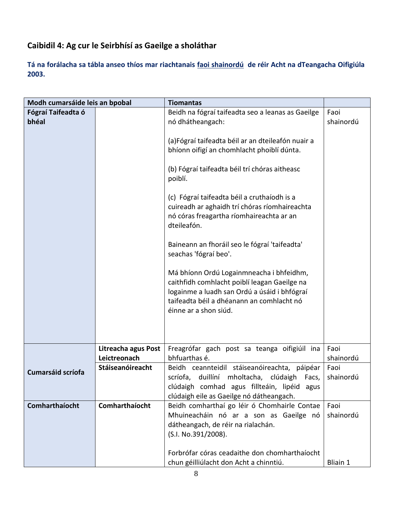# **Caibidil 4: Ag cur le Seirbhísí as Gaeilge a sholáthar**

**Tá na forálacha sa tábla anseo thíos mar riachtanais faoi shainordú de réir Acht na dTeangacha Oifigiúla 2003.**

| Modh cumarsáide leis an bpobal |                                     | <b>Tiomantas</b>                                                                          |                   |
|--------------------------------|-------------------------------------|-------------------------------------------------------------------------------------------|-------------------|
| Fógraí Taifeadta ó             |                                     | Beidh na fógraí taifeadta seo a leanas as Gaeilge                                         | Faoi              |
| bhéal                          |                                     | nó dhátheangach:                                                                          | shainordú         |
|                                |                                     | (a)Fógraí taifeadta béil ar an dteileafón nuair a                                         |                   |
|                                |                                     | bhíonn oifigí an chomhlacht phoiblí dúnta.                                                |                   |
|                                |                                     |                                                                                           |                   |
|                                |                                     | (b) Fógraí taifeadta béil trí chóras aitheasc                                             |                   |
|                                |                                     | poiblí.                                                                                   |                   |
|                                |                                     | (c) Fógraí taifeadta béil a cruthaíodh is a                                               |                   |
|                                |                                     | cuireadh ar aghaidh trí chóras ríomhaireachta                                             |                   |
|                                |                                     | nó córas freagartha ríomhaireachta ar an                                                  |                   |
|                                |                                     | dteileafón.                                                                               |                   |
|                                |                                     | Baineann an fhoráil seo le fógraí 'taifeadta'                                             |                   |
|                                |                                     | seachas 'fógraí beo'.                                                                     |                   |
|                                |                                     |                                                                                           |                   |
|                                |                                     | Má bhíonn Ordú Logainmneacha i bhfeidhm,                                                  |                   |
|                                |                                     | caithfidh comhlacht poiblí leagan Gaeilge na                                              |                   |
|                                |                                     | logainme a luadh san Ordú a úsáid i bhfógraí<br>taifeadta béil a dhéanann an comhlacht nó |                   |
|                                |                                     | éinne ar a shon siúd.                                                                     |                   |
|                                |                                     |                                                                                           |                   |
|                                |                                     |                                                                                           |                   |
|                                |                                     |                                                                                           |                   |
|                                | Litreacha agus Post<br>Leictreonach | Freagrófar gach post sa teanga oifigiúil ina<br>bhfuarthas é.                             | Faoi<br>shainordú |
|                                | Stáiseanóireacht                    | Beidh ceannteidil stáiseanóireachta, páipéar                                              | Faoi              |
| <b>Cumarsáid scríofa</b>       |                                     | scríofa, duillíní mholtacha, clúdaigh Facs,                                               | shainordú         |
|                                |                                     | clúdaigh comhad agus fillteáin, lipéid agus                                               |                   |
|                                |                                     | clúdaigh eile as Gaeilge nó dátheangach.                                                  |                   |
| Comharthaíocht                 | Comharthaíocht                      | Beidh comharthaí go léir ó Chomhairle Contae<br>Mhuineacháin nó ar a son as Gaeilge nó    | Faoi<br>shainordú |
|                                |                                     | dátheangach, de réir na rialachán.                                                        |                   |
|                                |                                     | (S.I. No.391/2008).                                                                       |                   |
|                                |                                     |                                                                                           |                   |
|                                |                                     | Forbrófar córas ceadaithe don chomharthaíocht                                             |                   |
|                                |                                     | chun géilliúlacht don Acht a chinntiú.                                                    | <b>Bliain 1</b>   |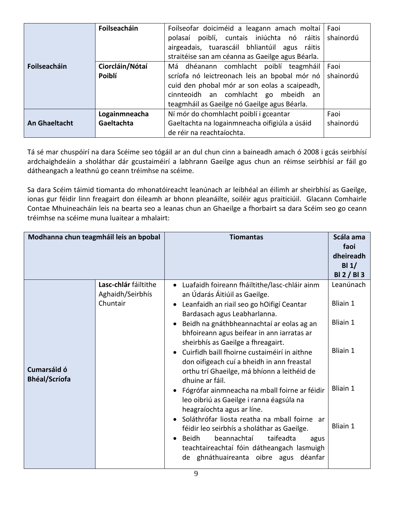|                      | Foilseacháin                | Foilseofar doiciméid a leagann amach moltaí<br>Faoi<br>poiblí, cuntais iniúchta nó ráitis<br>shainordú<br>polasaí<br>airgeadais, tuarascáil bhliantúil agus ráitis<br>straitéise san am céanna as Gaeilge agus Béarla.              |                     |  |
|----------------------|-----------------------------|-------------------------------------------------------------------------------------------------------------------------------------------------------------------------------------------------------------------------------------|---------------------|--|
| <b>Foilseacháin</b>  | Ciorcláin/Nótaí<br>Poiblí   | Má dhéanann comhlacht poiblí teagmháil<br>scríofa nó leictreonach leis an bpobal mór nó<br>cuid den phobal mór ar son eolas a scaipeadh,<br>cinnteoidh an comhlacht go<br>mbeidh an<br>teagmháil as Gaeilge nó Gaeilge agus Béarla. | l Faoi<br>shainordú |  |
| <b>An Ghaeltacht</b> | Logainmneacha<br>Gaeltachta | Ní mór do chomhlacht poiblí i gceantar<br>Faoi<br>Gaeltachta na logainmneacha oifigiúla a úsáid<br>shainordú<br>de réir na reachtaíochta.                                                                                           |                     |  |

Tá sé mar chuspóirí na dara Scéime seo tógáil ar an dul chun cinn a baineadh amach ó 2008 i gcás seirbhísí ardchaighdeáin a sholáthar dár gcustaiméirí a labhrann Gaeilge agus chun an réimse seirbhísí ar fáil go dátheangach a leathnú go ceann tréimhse na scéime.

Sa dara Scéim táimid tiomanta do mhonatóireacht leanúnach ar leibhéal an éilimh ar sheirbhísí as Gaeilge, ionas gur féidir linn freagairt don éileamh ar bhonn pleanáilte, soiléir agus praiticiúil. Glacann Comhairle Contae Mhuineacháin leis na bearta seo a leanas chun an Ghaeilge a fhorbairt sa dara Scéim seo go ceann tréimhse na scéime muna luaitear a mhalairt:

| Modhanna chun teagmháil leis an bpobal |                                                      | <b>Tiomantas</b>                                                                                                                                                                                                                                                                                           | Scála ama<br>faoi<br>dheireadh<br>BI1/<br>BI 2 / BI 3 |
|----------------------------------------|------------------------------------------------------|------------------------------------------------------------------------------------------------------------------------------------------------------------------------------------------------------------------------------------------------------------------------------------------------------------|-------------------------------------------------------|
|                                        | Lasc-chlár fáiltithe<br>Aghaidh/Seirbhís<br>Chuntair | Luafaidh foireann fháiltithe/lasc-chláir ainm<br>an Údarás Áitiúil as Gaeilge.<br>Leanfaidh an riail seo go hOifigí Ceantar<br>$\bullet$<br>Bardasach agus Leabharlanna.<br>Beidh na gnáthbheannachtaí ar eolas ag an<br>$\bullet$                                                                         | Leanúnach<br>Bliain 1<br>Bliain 1                     |
| Cumarsáid ó<br><b>Bhéal/Scríofa</b>    |                                                      | bhfoireann agus beifear in ann iarratas ar<br>sheirbhís as Gaeilge a fhreagairt.<br>Cuirfidh baill fhoirne custaiméirí in aithne<br>don oifigeach cuí a bheidh in ann freastal<br>orthu trí Ghaeilge, má bhíonn a leithéid de<br>dhuine ar fáil.                                                           | Bliain 1                                              |
|                                        |                                                      | Fógrófar ainmneacha na mball foirne ar féidir<br>$\bullet$<br>leo oibriú as Gaeilge i ranna éagsúla na<br>heagraíochta agus ar líne.<br>Soláthrófar liosta reatha na mball foirne ar<br>$\bullet$<br>féidir leo seirbhís a sholáthar as Gaeilge.<br>beannachtaí<br>taifeadta<br>Beidh<br>agus<br>$\bullet$ | Bliain 1<br>Bliain 1                                  |
|                                        |                                                      | teachtaireachtaí fóin dátheangach lasmuigh<br>de ghnáthuaireanta oibre agus<br>déanfar                                                                                                                                                                                                                     |                                                       |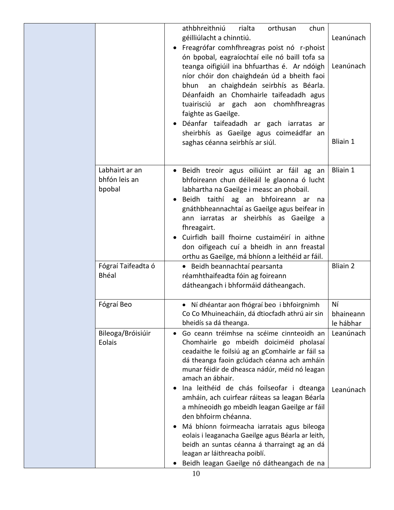|                                           | athbhreithniú<br>rialta<br>orthusan<br>chun<br>géilliúlacht a chinntiú.<br>Freagrófar comhfhreagras poist nó r-phoist<br>ón bpobal, eagraíochtaí eile nó baill tofa sa<br>teanga oifigiúil ina bhfuarthas é. Ar ndóigh<br>níor chóir don chaighdeán úd a bheith faoi<br>an chaighdeán seirbhís as Béarla.<br>bhun<br>Déanfaidh an Chomhairle taifeadadh agus<br>tuairisciú ar gach aon chomhfhreagras<br>faighte as Gaeilge.<br>Déanfar taifeadadh ar gach iarratas ar<br>sheirbhís as Gaeilge agus coimeádfar an<br>saghas céanna seirbhís ar siúl.                                                                                                                              | Leanúnach<br>Leanúnach<br><b>Bliain 1</b> |
|-------------------------------------------|-----------------------------------------------------------------------------------------------------------------------------------------------------------------------------------------------------------------------------------------------------------------------------------------------------------------------------------------------------------------------------------------------------------------------------------------------------------------------------------------------------------------------------------------------------------------------------------------------------------------------------------------------------------------------------------|-------------------------------------------|
| Labhairt ar an<br>bhfón leis an<br>bpobal | Beidh treoir agus oiliúint ar fáil ag an<br>bhfoireann chun déileáil le glaonna ó lucht<br>labhartha na Gaeilge i measc an phobail.<br>Beidh taithí ag an<br>bhfoireann ar<br>na<br>gnáthbheannachtaí as Gaeilge agus beifear in<br>ann iarratas ar sheirbhís as Gaeilge a<br>fhreagairt.<br>Cuirfidh baill fhoirne custaiméirí in aithne<br>don oifigeach cuí a bheidh in ann freastal<br>orthu as Gaeilge, má bhíonn a leithéid ar fáil.                                                                                                                                                                                                                                        | Bliain 1                                  |
| Fógraí Taifeadta ó<br><b>Bhéal</b>        | · Beidh beannachtaí pearsanta<br>réamhthaifeadta fóin ag foireann<br>dátheangach i bhformáid dátheangach.                                                                                                                                                                                                                                                                                                                                                                                                                                                                                                                                                                         | <b>Bliain 2</b>                           |
| Fógraí Beo                                | · Ní dhéantar aon fhógraí beo i bhfoirgnimh<br>Co Co Mhuineacháin, dá dtiocfadh athrú air sin<br>bheidís sa dá theanga.                                                                                                                                                                                                                                                                                                                                                                                                                                                                                                                                                           | Νí<br>bhaineann<br>le hábhar              |
| Bileoga/Bróisiúir<br>Eolais               | Go ceann tréimhse na scéime cinnteoidh an<br>$\bullet$<br>Chomhairle go mbeidh doiciméid pholasaí<br>ceadaithe le foilsiú ag an gComhairle ar fáil sa<br>dá theanga faoin gclúdach céanna ach amháin<br>munar féidir de dheasca nádúr, méid nó leagan<br>amach an ábhair.<br>Ina leithéid de chás foilseofar i dteanga<br>amháin, ach cuirfear ráiteas sa leagan Béarla<br>a mhíneoidh go mbeidh leagan Gaeilge ar fáil<br>den bhfoirm chéanna.<br>Má bhíonn foirmeacha iarratais agus bileoga<br>eolais i leaganacha Gaeilge agus Béarla ar leith,<br>beidh an suntas céanna á tharraingt ag an dá<br>leagan ar láithreacha poiblí.<br>Beidh leagan Gaeilge nó dátheangach de na | Leanúnach<br>Leanúnach                    |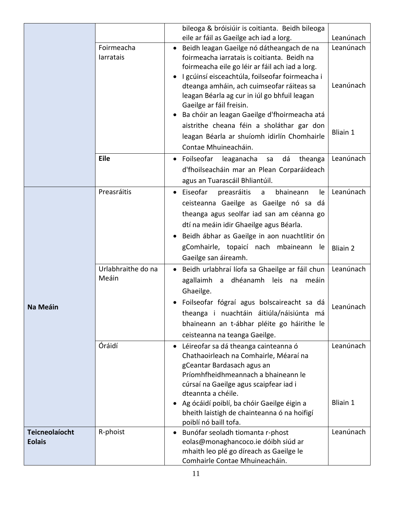|                       |                    | bileoga & bróisiúir is coitianta. Beidh bileoga                      |                 |
|-----------------------|--------------------|----------------------------------------------------------------------|-----------------|
|                       |                    | eile ar fáil as Gaeilge ach iad a lorg.                              | Leanúnach       |
|                       | Foirmeacha         | Beidh leagan Gaeilge nó dátheangach de na<br>$\bullet$               | Leanúnach       |
|                       | larratais          | foirmeacha iarratais is coitianta. Beidh na                          |                 |
|                       |                    | foirmeacha eile go léir ar fáil ach iad a lorg.                      |                 |
|                       |                    | I gcúinsí eisceachtúla, foilseofar foirmeacha i<br>$\bullet$         |                 |
|                       |                    | dteanga amháin, ach cuimseofar ráiteas sa                            | Leanúnach       |
|                       |                    | leagan Béarla ag cur in iúl go bhfuil leagan                         |                 |
|                       |                    | Gaeilge ar fáil freisin.                                             |                 |
|                       |                    | Ba chóir an leagan Gaeilge d'fhoirmeacha atá                         |                 |
|                       |                    | aistrithe cheana féin a sholáthar gar don                            | <b>Bliain 1</b> |
|                       |                    | leagan Béarla ar shuíomh idirlín Chomhairle                          |                 |
|                       |                    | Contae Mhuineacháin.                                                 |                 |
|                       | <b>Eile</b>        | Foilseofar<br>leaganacha<br>dá<br>theanga<br>sa<br>$\bullet$         | Leanúnach       |
|                       |                    | d'fhoilseacháin mar an Plean Corparáideach                           |                 |
|                       |                    | agus an Tuarascáil Bhliantúil.                                       |                 |
|                       | Preasráitis        | Eiseofar<br>preasráitis<br>bhaineann<br>le<br>a                      | Leanúnach       |
|                       |                    | ceisteanna Gaeilge as Gaeilge nó sa dá                               |                 |
|                       |                    | theanga agus seolfar iad san am céanna go                            |                 |
|                       |                    | dtí na meáin idir Ghaeilge agus Béarla.                              |                 |
|                       |                    | Beidh ábhar as Gaeilge in aon nuachtlitir ón                         |                 |
|                       |                    | gComhairle, topaicí nach mbaineann<br>le.                            |                 |
|                       |                    | Gaeilge san áireamh.                                                 | <b>Bliain 2</b> |
|                       | Urlabhraithe do na |                                                                      | Leanúnach       |
|                       | Meáin              | Beidh urlabhraí líofa sa Ghaeilge ar fáil chun                       |                 |
|                       |                    | agallaimh a dhéanamh leis na<br>meáin                                |                 |
|                       |                    | Ghaeilge.                                                            |                 |
| <b>Na Meáin</b>       |                    | Foilseofar fógraí agus bolscaireacht sa dá                           | Leanúnach       |
|                       |                    | theanga i nuachtáin áitiúla/náisiúnta má                             |                 |
|                       |                    | bhaineann an t-ábhar pléite go háirithe le                           |                 |
|                       |                    | ceisteanna na teanga Gaeilge.                                        |                 |
|                       | Óráidí             | Léireofar sa dá theanga cainteanna ó<br>٠                            | Leanúnach       |
|                       |                    | Chathaoirleach na Comhairle, Méaraí na                               |                 |
|                       |                    | gCeantar Bardasach agus an                                           |                 |
|                       |                    | Príomhfheidhmeannach a bhaineann le                                  |                 |
|                       |                    | cúrsaí na Gaeilge agus scaipfear iad i                               |                 |
|                       |                    | dteannta a chéile.                                                   |                 |
|                       |                    | Ag ócáidí poiblí, ba chóir Gaeilge éigin a<br>$\bullet$              | <b>Bliain 1</b> |
|                       |                    | bheith laistigh de chainteanna ó na hoifigí<br>poiblí nó baill tofa. |                 |
| <b>Teicneolaíocht</b> | R-phoist           | Bunófar seoladh tiomanta r-phost<br>٠                                | Leanúnach       |
| <b>Eolais</b>         |                    | eolas@monaghancoco.ie dóibh siúd ar                                  |                 |
|                       |                    | mhaith leo plé go díreach as Gaeilge le                              |                 |
|                       |                    | Comhairle Contae Mhuineacháin.                                       |                 |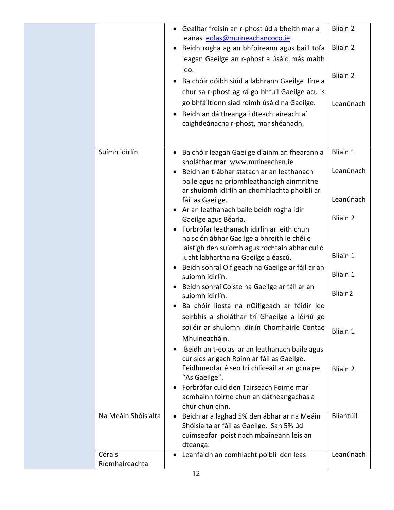|                          | Gealltar freisin an r-phost úd a bheith mar a<br>$\bullet$                                                                                                                 | <b>Bliain 2</b> |
|--------------------------|----------------------------------------------------------------------------------------------------------------------------------------------------------------------------|-----------------|
|                          | leanas eolas@muineachancoco.ie.<br>Beidh rogha ag an bhfoireann agus baill tofa<br>leagan Gaeilge an r-phost a úsáid más maith                                             | <b>Bliain 2</b> |
|                          | leo.<br>Ba chóir dóibh siúd a labhrann Gaeilge líne a<br>chur sa r-phost ag rá go bhfuil Gaeilge acu is                                                                    | <b>Bliain 2</b> |
|                          | go bhfáiltíonn siad roimh úsáid na Gaeilge.<br>Beidh an dá theanga i dteachtaireachtaí<br>caighdeánacha r-phost, mar shéanadh.                                             | Leanúnach       |
| Suímh idirlín            | Ba chóir leagan Gaeilge d'ainm an fhearann a<br>$\bullet$                                                                                                                  | <b>Bliain 1</b> |
|                          | sholáthar mar www.muineachan.ie.<br>Beidh an t-ábhar statach ar an leathanach<br>baile agus na príomhleathanaigh ainmnithe<br>ar shuíomh idirlín an chomhlachta phoiblí ar | Leanúnach       |
|                          | fáil as Gaeilge.<br>Ar an leathanach baile beidh rogha idir<br>$\bullet$                                                                                                   | Leanúnach       |
|                          | Gaeilge agus Béarla.<br>Forbrófar leathanach idirlín ar leith chun<br>naisc ón ábhar Gaeilge a bhreith le chéile                                                           | <b>Bliain 2</b> |
|                          | laistigh den suíomh agus rochtain ábhar cuí ó<br>lucht labhartha na Gaeilge a éascú.                                                                                       | <b>Bliain 1</b> |
|                          | Beidh sonraí Oifigeach na Gaeilge ar fáil ar an<br>$\bullet$<br>suíomh idirlín.                                                                                            | <b>Bliain 1</b> |
|                          | Beidh sonraí Coiste na Gaeilge ar fáil ar an<br>suíomh idirlín.                                                                                                            | Bliain2         |
|                          | Ba chóir liosta na nOifigeach ar féidir leo<br>seirbhís a sholáthar trí Ghaeilge a léiriú go                                                                               |                 |
|                          | soiléir ar shuíomh idirlín Chomhairle Contae<br>Mhuineacháin.                                                                                                              | Bliain 1        |
|                          | Beidh an t-eolas ar an leathanach baile agus<br>$\bullet$<br>cur síos ar gach Roinn ar fáil as Gaeilge.<br>Feidhmeofar é seo trí chliceáil ar an gcnaipe<br>"As Gaeilge".  | <b>Bliain 2</b> |
|                          | Forbrófar cuid den Tairseach Foirne mar<br>acmhainn foirne chun an dátheangachas a<br>chur chun cinn.                                                                      |                 |
| Na Meáin Shóisialta      | Beidh ar a laghad 5% den ábhar ar na Meáin<br>$\bullet$<br>Shóisialta ar fáil as Gaeilge. San 5% úd<br>cuimseofar poist nach mbaineann leis an<br>dteanga.                 | Bliantúil       |
| Córais<br>Ríomhaireachta | Leanfaidh an comhlacht poiblí den leas<br>٠                                                                                                                                | Leanúnach       |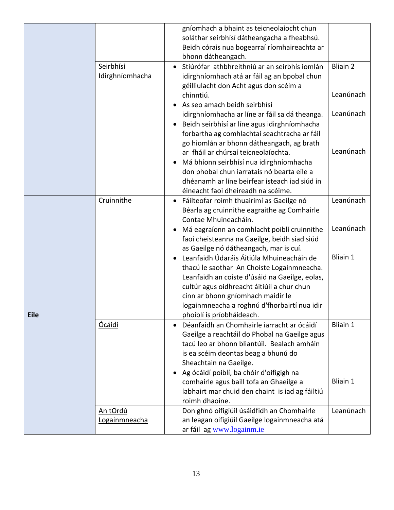|             | Seirbhísí                        | gníomhach a bhaint as teicneolaíocht chun<br>soláthar seirbhísí dátheangacha a fheabhsú.<br>Beidh córais nua bogearraí ríomhaireachta ar<br>bhonn dátheangach.<br>Stiúrófar athbhreithniú ar an seirbhís iomlán<br>$\bullet$                                                                              | <b>Bliain 2</b> |
|-------------|----------------------------------|-----------------------------------------------------------------------------------------------------------------------------------------------------------------------------------------------------------------------------------------------------------------------------------------------------------|-----------------|
|             | Idirghníomhacha                  | idirghníomhach atá ar fáil ag an bpobal chun<br>géilliulacht don Acht agus don scéim a<br>chinntiú.                                                                                                                                                                                                       | Leanúnach       |
|             |                                  | As seo amach beidh seirbhísí<br>idirghníomhacha ar líne ar fáil sa dá theanga.<br>Beidh seirbhísí ar líne agus idirghníomhacha<br>forbartha ag comhlachtaí seachtracha ar fáil<br>go hiomlán ar bhonn dátheangach, ag brath                                                                               | Leanúnach       |
|             |                                  | ar fháil ar chúrsaí teicneolaíochta.<br>Má bhíonn seirbhísí nua idirghníomhacha<br>$\bullet$<br>don phobal chun iarratais nó bearta eile a<br>dhéanamh ar líne beirfear isteach iad siúd in<br>éineacht faoi dheireadh na scéime.                                                                         | Leanúnach       |
|             | Cruinnithe                       | Fáilteofar roimh thuairimí as Gaeilge nó<br>Béarla ag cruinnithe eagraithe ag Comhairle<br>Contae Mhuineacháin.                                                                                                                                                                                           | Leanúnach       |
|             |                                  | Má eagraíonn an comhlacht poiblí cruinnithe<br>faoi cheisteanna na Gaeilge, beidh siad siúd<br>as Gaeilge nó dátheangach, mar is cuí.                                                                                                                                                                     | Leanúnach       |
| <b>Eile</b> |                                  | Leanfaidh Údaráis Áitiúla Mhuineacháin de<br>thacú le saothar An Choiste Logainmneacha.<br>Leanfaidh an coiste d'úsáid na Gaeilge, eolas,<br>cultúr agus oidhreacht áitiúil a chur chun<br>cinn ar bhonn gníomhach maidir le<br>logainmneacha a roghnú d'fhorbairtí nua idir<br>phoiblí is príobháideach. | <b>Bliain 1</b> |
|             | <b>Ocáidí</b>                    | Déanfaidh an Chomhairle iarracht ar ócáidí<br>Gaeilge a reachtáil do Phobal na Gaeilge agus<br>tacú leo ar bhonn bliantúil. Bealach amháin<br>is ea scéim deontas beag a bhunú do<br>Sheachtain na Gaeilge.                                                                                               | <b>Bliain 1</b> |
|             |                                  | Ag ócáidí poiblí, ba chóir d'oifigigh na<br>comhairle agus baill tofa an Ghaeilge a<br>labhairt mar chuid den chaint is iad ag fáiltiú<br>roimh dhaoine.                                                                                                                                                  | Bliain 1        |
|             | <u>An tOrdú</u><br>Logainmneacha | Don ghnó oifigiúil úsáidfidh an Chomhairle<br>an leagan oifigiúil Gaeilge logainmneacha atá<br>ar fáil ag www.logainm.ie                                                                                                                                                                                  | Leanúnach       |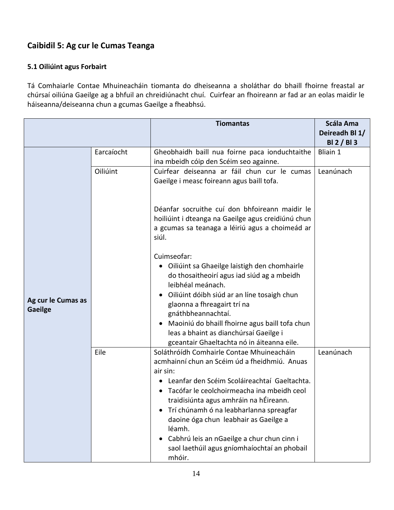## **Caibidil 5: Ag cur le Cumas Teanga**

#### **5.1 Oiliúint agus Forbairt**

Tá Comhaiarle Contae Mhuineacháin tiomanta do dheiseanna a sholáthar do bhaill fhoirne freastal ar chúrsaí oiliúna Gaeilge ag a bhfuil an chreidiúnacht chuí. Cuirfear an fhoireann ar fad ar an eolas maidir le háiseanna/deiseanna chun a gcumas Gaeilge a fheabhsú.

|                    |            | <b>Tiomantas</b>                                                                        | <b>Scála Ama</b> |
|--------------------|------------|-----------------------------------------------------------------------------------------|------------------|
|                    |            |                                                                                         | Deireadh Bl 1/   |
|                    |            |                                                                                         | BI 2 / BI 3      |
|                    | Earcaíocht | Gheobhaidh baill nua foirne paca ionduchtaithe                                          | <b>Bliain 1</b>  |
|                    |            | ina mbeidh cóip den Scéim seo againne.                                                  |                  |
|                    | Oiliúint   | Cuirfear deiseanna ar fáil chun cur le cumas                                            | Leanúnach        |
|                    |            | Gaeilge i measc foireann agus baill tofa.                                               |                  |
|                    |            |                                                                                         |                  |
|                    |            | Déanfar socruithe cuí don bhfoireann maidir le                                          |                  |
|                    |            | hoiliúint i dteanga na Gaeilge agus creidiúnú chun                                      |                  |
|                    |            | a gcumas sa teanaga a léiriú agus a choimeád ar                                         |                  |
|                    |            | siúl.                                                                                   |                  |
|                    |            |                                                                                         |                  |
|                    |            | Cuimseofar:                                                                             |                  |
|                    |            | Oiliúint sa Ghaeilge laistigh den chomhairle                                            |                  |
|                    |            | do thosaitheoirí agus iad siúd ag a mbeidh                                              |                  |
|                    |            | leibhéal meánach.                                                                       |                  |
| Ag cur le Cumas as |            | Oiliúint dóibh siúd ar an líne tosaigh chun                                             |                  |
| <b>Gaeilge</b>     |            | glaonna a fhreagairt trí na                                                             |                  |
|                    |            | gnáthbheannachtaí.                                                                      |                  |
|                    |            | Maoiniú do bhaill fhoirne agus baill tofa chun                                          |                  |
|                    |            | leas a bhaint as dianchúrsaí Gaeilge i                                                  |                  |
|                    |            | gceantair Ghaeltachta nó in áiteanna eile.<br>Soláthróídh Comhairle Contae Mhuineacháin |                  |
|                    | Eile       | acmhainní chun an Scéim úd a fheidhmiú. Anuas                                           | Leanúnach        |
|                    |            | air sin:                                                                                |                  |
|                    |            | Leanfar den Scéim Scoláireachtaí Gaeltachta.                                            |                  |
|                    |            | Tacófar le ceolchoirmeacha ina mbeidh ceol<br>$\bullet$                                 |                  |
|                    |            | traidisiúnta agus amhráin na hÉireann.                                                  |                  |
|                    |            | Trí chúnamh ó na leabharlanna spreagfar                                                 |                  |
|                    |            | daoine óga chun leabhair as Gaeilge a                                                   |                  |
|                    |            | léamh.                                                                                  |                  |
|                    |            | Cabhrú leis an nGaeilge a chur chun cinn i                                              |                  |
|                    |            | saol laethúil agus gníomhaíochtaí an phobail                                            |                  |
|                    |            | mhóir.                                                                                  |                  |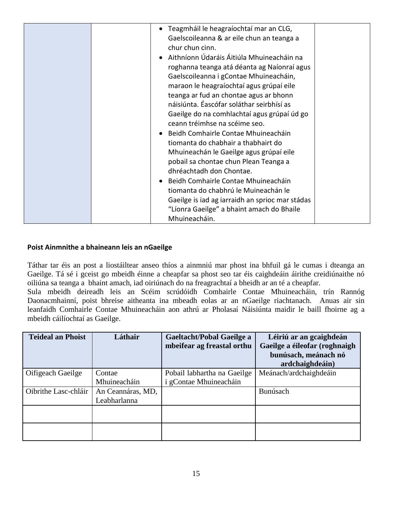|  | Teagmháil le heagraíochtaí mar an CLG,<br>$\bullet$ |  |
|--|-----------------------------------------------------|--|
|  | Gaelscoileanna & ar eile chun an teanga a           |  |
|  | chur chun cinn.                                     |  |
|  | Aithníonn Údaráis Áitiúla Mhuineacháin na           |  |
|  | roghanna teanga atá déanta ag Naíonraí agus         |  |
|  | Gaelscoileanna i gContae Mhuineacháin,              |  |
|  | maraon le heagraíochtaí agus grúpaí eile            |  |
|  | teanga ar fud an chontae agus ar bhonn              |  |
|  | náisiúnta. Éascófar soláthar seirbhísí as           |  |
|  | Gaeilge do na comhlachtaí agus grúpaí úd go         |  |
|  | ceann tréimhse na scéime seo.                       |  |
|  |                                                     |  |
|  | Beidh Comhairle Contae Mhuineacháin                 |  |
|  | tiomanta do chabhair a thabhairt do                 |  |
|  | Mhuineachán le Gaeilge agus grúpaí eile             |  |
|  | pobail sa chontae chun Plean Teanga a               |  |
|  | dhréachtadh don Chontae.                            |  |
|  | Beidh Comhairle Contae Mhuineacháin<br>$\bullet$    |  |
|  | tiomanta do chabhrú le Muineachán le                |  |
|  | Gaeilge is iad ag iarraidh an sprioc mar stádas     |  |
|  | "Líonra Gaeilge" a bhaint amach do Bhaile           |  |
|  | Mhuineacháin.                                       |  |

#### **Poist Ainmnithe a bhaineann leis an nGaeilge**

Táthar tar éis an post a liostáiltear anseo thíos a ainmniú mar phost ina bhfuil gá le cumas i dteanga an Gaeilge. Tá sé i gceist go mbeidh éinne a cheapfar sa phost seo tar éis caighdeáin áirithe creidiúnaithe nó oiliúna sa teanga a bhaint amach, iad oiriúnach do na freagrachtaí a bheidh ar an té a cheapfar. Sula mbeidh deireadh leis an Scéim scrúdóidh Comhairle Contae Mhuineacháin, trín Rannóg Daonacmhainní, poist bhreise aitheanta ina mbeadh eolas ar an nGaeilge riachtanach. Anuas air sin leanfaidh Comhairle Contae Mhuineacháin aon athrú ar Pholasaí Náisiúnta maidir le baill fhoirne ag a mbeidh cáilíochtaí as Gaeilge.

| <b>Teideal an Phoist</b> | Láthair           | <b>Gaeltacht/Pobal Gaeilge a</b><br>mbeifear ag freastal orthu | Léiriú ar an gcaighdeán<br>Gaeilge a éileofar (roghnaigh<br>bunúsach, meánach nó<br>ardchaighdeáin) |
|--------------------------|-------------------|----------------------------------------------------------------|-----------------------------------------------------------------------------------------------------|
| Oifigeach Gaeilge        | Contae            | Pobail labhartha na Gaeilge                                    | Meánach/ardchaighdeáin                                                                              |
|                          | Mhuineacháin      | i gContae Mhuineacháin                                         |                                                                                                     |
| Oibrithe Lasc-chláir     | An Ceannáras, MD, |                                                                | Bunúsach                                                                                            |
|                          | Leabharlanna      |                                                                |                                                                                                     |
|                          |                   |                                                                |                                                                                                     |
|                          |                   |                                                                |                                                                                                     |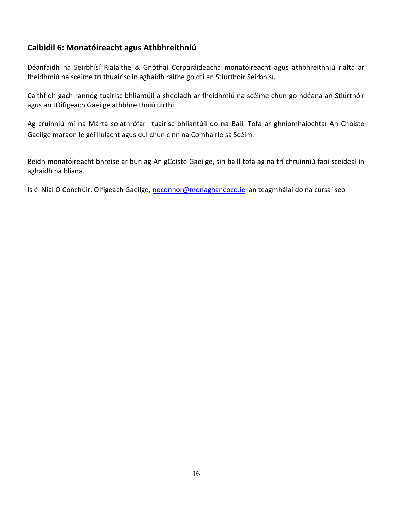### **Caibidil 6: Monatóireacht agus Athbhreithniú**

Déanfaidh na Seirbhísí Rialaithe & Gnóthaí Corparáideacha monatóireacht agus athbhreithniú rialta ar fheidhmiú na scéime trí thuairisc in aghaidh ráithe go dtí an Stiúrthóir Seirbhísí.

Caithfidh gach rannóg tuairisc bhliantúil a sheoladh ar fheidhmiú na scéime chun go ndéana an Stiúrthóir agus an tOifigeach Gaeilge athbhreithniú uirthi.

Ag cruinniú mí na Márta soláthrófar tuairisc bhliantúil do na Baill Tofa ar ghníomhaíochtaí An Choiste Gaeilge maraon le géilliúlacht agus dul chun cinn na Comhairle sa Scéim.

Beidh monatóireacht bhreise ar bun ag An gCoiste Gaeilge, sin baill tofa ag na trí chruinniú faoi sceideal in aghaidh na bliana.

Is é Nial Ó Conchúir, Oifigeach Gaeilge, [noconnor@monaghancoco.ie](mailto:noconnor@monaghancoco.ie) an teagmhálaí do na cúrsaí seo